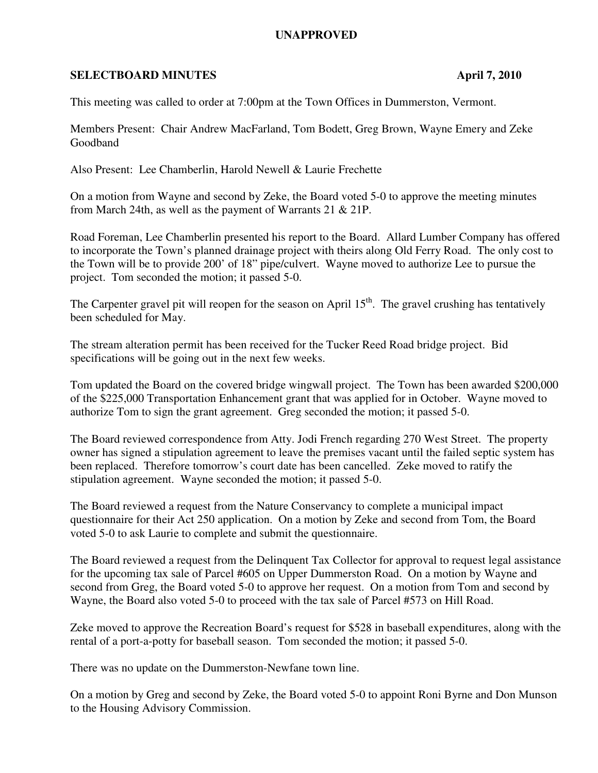## **UNAPPROVED**

## **SELECTBOARD MINUTES** April 7, 2010

This meeting was called to order at 7:00pm at the Town Offices in Dummerston, Vermont.

Members Present: Chair Andrew MacFarland, Tom Bodett, Greg Brown, Wayne Emery and Zeke Goodband

Also Present: Lee Chamberlin, Harold Newell & Laurie Frechette

On a motion from Wayne and second by Zeke, the Board voted 5-0 to approve the meeting minutes from March 24th, as well as the payment of Warrants 21 & 21P.

Road Foreman, Lee Chamberlin presented his report to the Board. Allard Lumber Company has offered to incorporate the Town's planned drainage project with theirs along Old Ferry Road. The only cost to the Town will be to provide 200' of 18" pipe/culvert. Wayne moved to authorize Lee to pursue the project. Tom seconded the motion; it passed 5-0.

The Carpenter gravel pit will reopen for the season on April  $15<sup>th</sup>$ . The gravel crushing has tentatively been scheduled for May.

The stream alteration permit has been received for the Tucker Reed Road bridge project. Bid specifications will be going out in the next few weeks.

Tom updated the Board on the covered bridge wingwall project. The Town has been awarded \$200,000 of the \$225,000 Transportation Enhancement grant that was applied for in October. Wayne moved to authorize Tom to sign the grant agreement. Greg seconded the motion; it passed 5-0.

The Board reviewed correspondence from Atty. Jodi French regarding 270 West Street. The property owner has signed a stipulation agreement to leave the premises vacant until the failed septic system has been replaced. Therefore tomorrow's court date has been cancelled. Zeke moved to ratify the stipulation agreement. Wayne seconded the motion; it passed 5-0.

The Board reviewed a request from the Nature Conservancy to complete a municipal impact questionnaire for their Act 250 application. On a motion by Zeke and second from Tom, the Board voted 5-0 to ask Laurie to complete and submit the questionnaire.

The Board reviewed a request from the Delinquent Tax Collector for approval to request legal assistance for the upcoming tax sale of Parcel #605 on Upper Dummerston Road. On a motion by Wayne and second from Greg, the Board voted 5-0 to approve her request. On a motion from Tom and second by Wayne, the Board also voted 5-0 to proceed with the tax sale of Parcel #573 on Hill Road.

Zeke moved to approve the Recreation Board's request for \$528 in baseball expenditures, along with the rental of a port-a-potty for baseball season. Tom seconded the motion; it passed 5-0.

There was no update on the Dummerston-Newfane town line.

On a motion by Greg and second by Zeke, the Board voted 5-0 to appoint Roni Byrne and Don Munson to the Housing Advisory Commission.